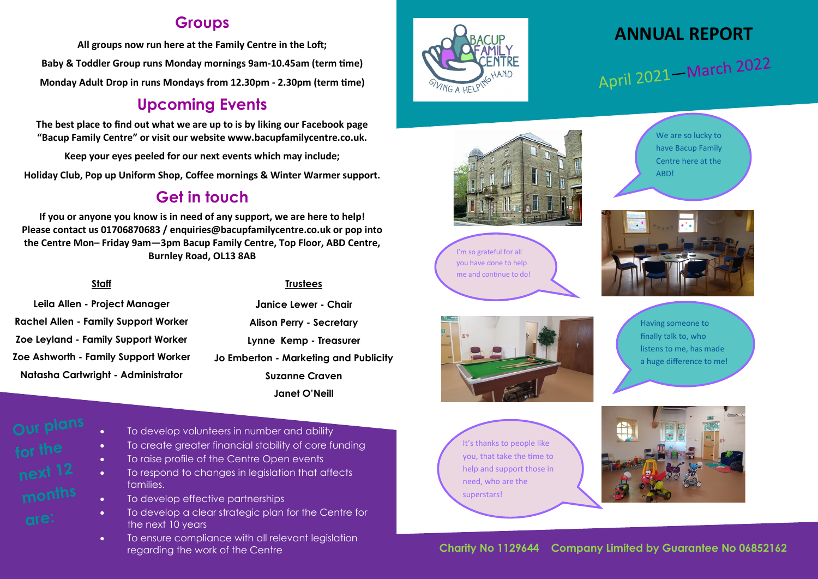#### **Groups**

**All groups now run here at the Family Centre in the Loft; Baby & Toddler Group runs Monday mornings 9am-10.45am (term time) Monday Adult Drop in runs Mondays from 12.30pm - 2.30pm (term time)**

### **Upcoming Events**

**The best place to find out what we are up to is by liking our Facebook page "Bacup Family Centre" or visit our website www.bacupfamilycentre.co.uk.**

**Keep your eyes peeled for our next events which may include;**

**Holiday Club, Pop up Uniform Shop, Coffee mornings & Winter Warmer support.**

### **Get in touch**

**If you or anyone you know is in need of any support, we are here to help! Please contact us 01706870683 / enquiries@bacupfamilycentre.co.uk or pop into the Centre Mon– Friday 9am—3pm Bacup Family Centre, Top Floor, ABD Centre, Burnley Road, OL13 8AB**

#### **Staff**

**Leila Allen - Project Manager Rachel Allen - Family Support Worker Zoe Leyland - Family Support Worker Zoe Ashworth - Family Support Worker Natasha Cartwright - Administrator**

#### **Trustees**

**Janice Lewer - Chair Alison Perry - Secretary Lynne Kemp - Treasurer Jo Emberton - Marketing and Publicity Suzanne Craven Janet O'Neill**



- To develop volunteers in number and ability
- To create greater financial stability of core funding
- To raise profile of the Centre Open events
- To respond to changes in legislation that affects families.
- To develop effective partnerships
- To develop a clear strategic plan for the Centre for the next 10 years
- To ensure compliance with all relevant legislation regarding the work of the Centre



# **ANNUAL REPORT**

April 2021 – March 2022



We are so lucky to have Bacup Family Centre here at the ABD!







Having someone to finally talk to, who listens to me, has made a huge difference to me!

It's thanks to people like you, that take the time to help and support those in need, who are the superstars!



 **Charity No 1129644 Company Limited by Guarantee No 06852162**